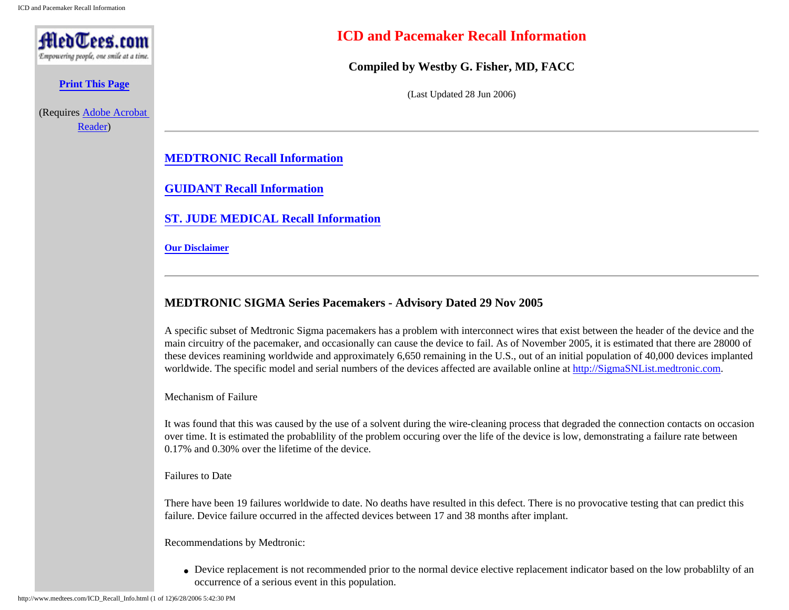<span id="page-0-1"></span>

**[Print This Page](http://www.medtees.com/content/ICDPacerRecall.pdf)**

(Requires [Adobe Acrobat](http://www.adobe.com/products/acrobat/readstep2.html)  [Reader\)](http://www.adobe.com/products/acrobat/readstep2.html)

# **ICD and Pacemaker Recall Information**

**Compiled by Westby G. Fisher, MD, FACC**

(Last Updated 28 Jun 2006)

**[MEDTRONIC Recall Information](#page-0-0)**

**[GUIDANT Recall Information](#page-2-0)**

**[ST. JUDE MEDICAL Recall Information](#page-9-0)**

**[Our Disclaimer](#page-10-0)**

### <span id="page-0-0"></span>**MEDTRONIC SIGMA Series Pacemakers - Advisory Dated 29 Nov 2005**

A specific subset of Medtronic Sigma pacemakers has a problem with interconnect wires that exist between the header of the device and the main circuitry of the pacemaker, and occasionally can cause the device to fail. As of November 2005, it is estimated that there are 28000 of these devices reamining worldwide and approximately 6,650 remaining in the U.S., out of an initial population of 40,000 devices implanted worldwide. The specific model and serial numbers of the devices affected are available online at [http://SigmaSNList.medtronic.com](http://sigmasnlist.medtronic.com/).

Mechanism of Failure

It was found that this was caused by the use of a solvent during the wire-cleaning process that degraded the connection contacts on occasion over time. It is estimated the probablility of the problem occuring over the life of the device is low, demonstrating a failure rate between 0.17% and 0.30% over the lifetime of the device.

#### Failures to Date

There have been 19 failures worldwide to date. No deaths have resulted in this defect. There is no provocative testing that can predict this failure. Device failure occurred in the affected devices between 17 and 38 months after implant.

Recommendations by Medtronic:

• Device replacement is not recommended prior to the normal device elective replacement indicator based on the low probability of an occurrence of a serious event in this population.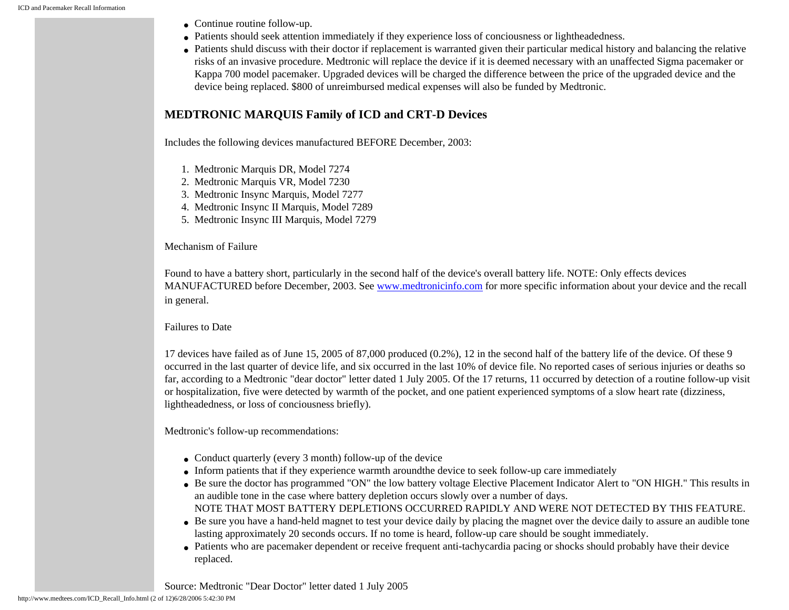- Continue routine follow-up.
- Patients should seek attention immediately if they experience loss of conciousness or lightheadedness.
- Patients shuld discuss with their doctor if replacement is warranted given their particular medical history and balancing the relative risks of an invasive procedure. Medtronic will replace the device if it is deemed necessary with an unaffected Sigma pacemaker or Kappa 700 model pacemaker. Upgraded devices will be charged the difference between the price of the upgraded device and the device being replaced. \$800 of unreimbursed medical expenses will also be funded by Medtronic.

# **MEDTRONIC MARQUIS Family of ICD and CRT-D Devices**

Includes the following devices manufactured BEFORE December, 2003:

- 1. Medtronic Marquis DR, Model 7274
- 2. Medtronic Marquis VR, Model 7230
- 3. Medtronic Insync Marquis, Model 7277
- 4. Medtronic Insync II Marquis, Model 7289
- 5. Medtronic Insync III Marquis, Model 7279

Mechanism of Failure

Found to have a battery short, particularly in the second half of the device's overall battery life. NOTE: Only effects devices MANUFACTURED before December, 2003. See [www.medtronicinfo.com](http://www.medtronicinfo.com/) for more specific information about your device and the recall in general.

### Failures to Date

17 devices have failed as of June 15, 2005 of 87,000 produced (0.2%), 12 in the second half of the battery life of the device. Of these 9 occurred in the last quarter of device life, and six occurred in the last 10% of device file. No reported cases of serious injuries or deaths so far, according to a Medtronic "dear doctor" letter dated 1 July 2005. Of the 17 returns, 11 occurred by detection of a routine follow-up visit or hospitalization, five were detected by warmth of the pocket, and one patient experienced symptoms of a slow heart rate (dizziness, lightheadedness, or loss of conciousness briefly).

Medtronic's follow-up recommendations:

- Conduct quarterly (every 3 month) follow-up of the device
- Inform patients that if they experience warmth around the device to seek follow-up care immediately
- Be sure the doctor has programmed "ON" the low battery voltage Elective Placement Indicator Alert to "ON HIGH." This results in an audible tone in the case where battery depletion occurs slowly over a number of days. NOTE THAT MOST BATTERY DEPLETIONS OCCURRED RAPIDLY AND WERE NOT DETECTED BY THIS FEATURE.
- Be sure you have a hand-held magnet to test your device daily by placing the magnet over the device daily to assure an audible tone lasting approximately 20 seconds occurs. If no tome is heard, follow-up care should be sought immediately.
- Patients who are pacemaker dependent or receive frequent anti-tachycardia pacing or shocks should probably have their device replaced.

Source: Medtronic "Dear Doctor" letter dated 1 July 2005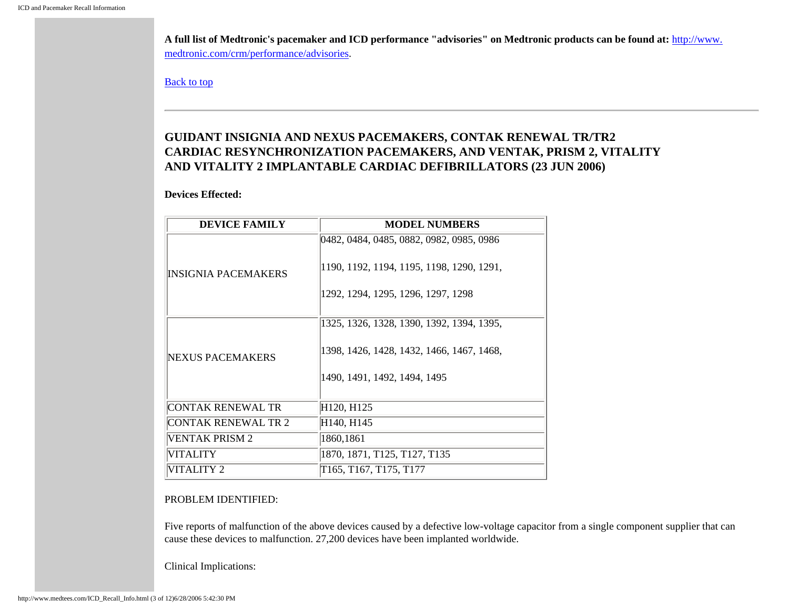**A full list of Medtronic's pacemaker and ICD performance "advisories" on Medtronic products can be found at:** [http://www.](http://www.medtronic.com/crm/performance/advisories) [medtronic.com/crm/performance/advisories](http://www.medtronic.com/crm/performance/advisories).

[Back to top](#page-0-1)

# <span id="page-2-0"></span>**GUIDANT INSIGNIA AND NEXUS PACEMAKERS, CONTAK RENEWAL TR/TR2 CARDIAC RESYNCHRONIZATION PACEMAKERS, AND VENTAK, PRISM 2, VITALITY AND VITALITY 2 IMPLANTABLE CARDIAC DEFIBRILLATORS (23 JUN 2006)**

### **Devices Effected:**

| <b>DEVICE FAMILY</b>       | <b>MODEL NUMBERS</b>                      |
|----------------------------|-------------------------------------------|
|                            | 0482, 0484, 0485, 0882, 0982, 0985, 0986  |
| <b>INSIGNIA PACEMAKERS</b> | 1190, 1192, 1194, 1195, 1198, 1290, 1291, |
|                            | 1292, 1294, 1295, 1296, 1297, 1298        |
|                            | 1325, 1326, 1328, 1390, 1392, 1394, 1395, |
| <b>NEXUS PACEMAKERS</b>    | 1398, 1426, 1428, 1432, 1466, 1467, 1468, |
|                            | 1490, 1491, 1492, 1494, 1495              |
| CONTAK RENEWAL TR          | H120, H125                                |
| CONTAK RENEWAL TR 2        | H140, H145                                |
| VENTAK PRISM 2             | 1860,1861                                 |
| <b>VITALITY</b>            | 1870, 1871, T125, T127, T135              |
| VITALITY 2                 | T165, T167, T175, T177                    |

#### PROBLEM IDENTIFIED:

Five reports of malfunction of the above devices caused by a defective low-voltage capacitor from a single component supplier that can cause these devices to malfunction. 27,200 devices have been implanted worldwide.

Clinical Implications: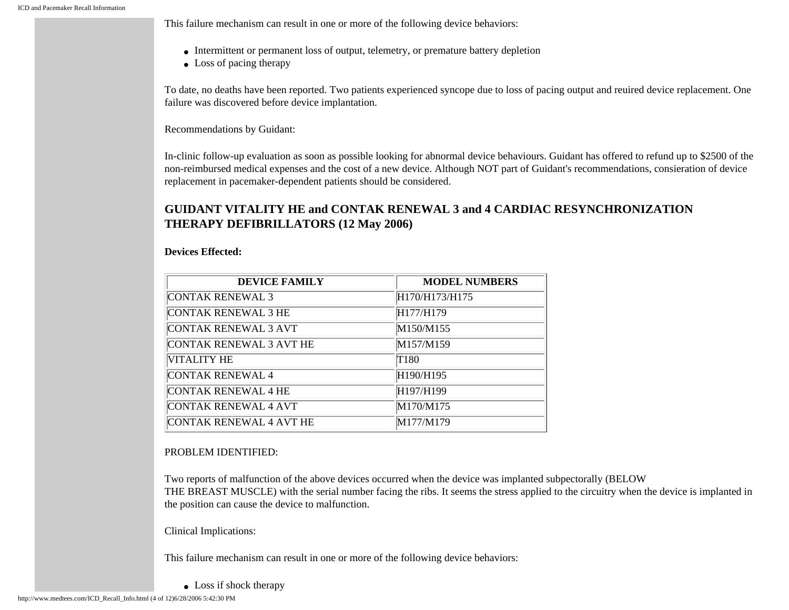This failure mechanism can result in one or more of the following device behaviors:

- Intermittent or permanent loss of output, telemetry, or premature battery depletion
- Loss of pacing therapy

To date, no deaths have been reported. Two patients experienced syncope due to loss of pacing output and reuired device replacement. One failure was discovered before device implantation.

Recommendations by Guidant:

In-clinic follow-up evaluation as soon as possible looking for abnormal device behaviours. Guidant has offered to refund up to \$2500 of the non-reimbursed medical expenses and the cost of a new device. Although NOT part of Guidant's recommendations, consieration of device replacement in pacemaker-dependent patients should be considered.

# **GUIDANT VITALITY HE and CONTAK RENEWAL 3 and 4 CARDIAC RESYNCHRONIZATION THERAPY DEFIBRILLATORS (12 May 2006)**

#### **Devices Effected:**

| <b>DEVICE FAMILY</b>           | <b>MODEL NUMBERS</b>               |
|--------------------------------|------------------------------------|
| <b>CONTAK RENEWAL 3</b>        | H170/H173/H175                     |
| <b>CONTAK RENEWAL 3 HE</b>     | H177/H179                          |
| CONTAK RENEWAL 3 AVT           | M150/M155                          |
| CONTAK RENEWAL 3 AVT HE        | M <sub>157</sub> /M <sub>159</sub> |
| VITALITY HE                    | T180                               |
| <b>CONTAK RENEWAL 4</b>        | H190/H195                          |
| CONTAK RENEWAL 4 HE            | H <sub>197</sub> /H <sub>199</sub> |
| <b>CONTAK RENEWAL 4 AVT</b>    | M170/M175                          |
| <b>CONTAK RENEWAL 4 AVT HE</b> | M177/M179                          |

#### PROBLEM IDENTIFIED:

Two reports of malfunction of the above devices occurred when the device was implanted subpectorally (BELOW THE BREAST MUSCLE) with the serial number facing the ribs. It seems the stress applied to the circuitry when the device is implanted in the position can cause the device to malfunction.

Clinical Implications:

This failure mechanism can result in one or more of the following device behaviors:

• Loss if shock therapy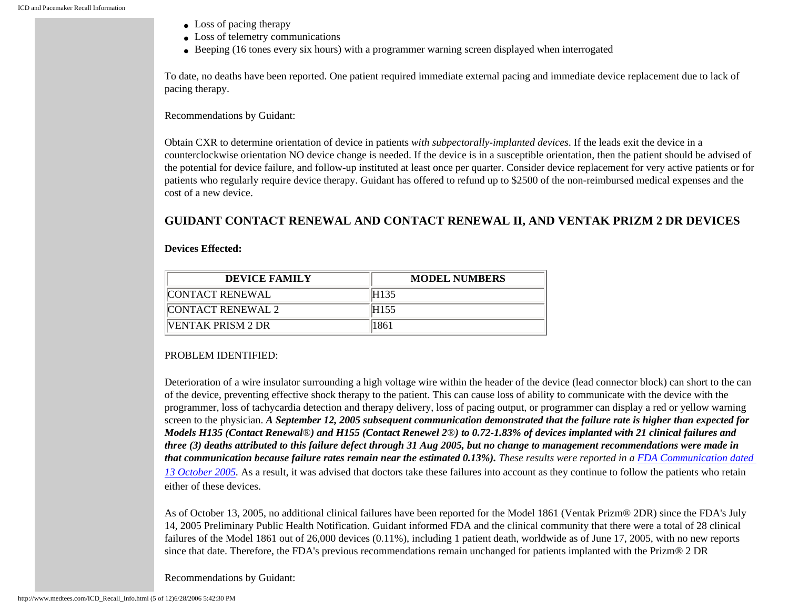- Loss of pacing therapy
- Loss of telemetry communications
- Beeping (16 tones every six hours) with a programmer warning screen displayed when interrogated

To date, no deaths have been reported. One patient required immediate external pacing and immediate device replacement due to lack of pacing therapy.

#### Recommendations by Guidant:

Obtain CXR to determine orientation of device in patients *with subpectorally-implanted devices*. If the leads exit the device in a counterclockwise orientation NO device change is needed. If the device is in a susceptible orientation, then the patient should be advised of the potential for device failure, and follow-up instituted at least once per quarter. Consider device replacement for very active patients or for patients who regularly require device therapy. Guidant has offered to refund up to \$2500 of the non-reimbursed medical expenses and the cost of a new device.

## **GUIDANT CONTACT RENEWAL AND CONTACT RENEWAL II, AND VENTAK PRIZM 2 DR DEVICES**

#### **Devices Effected:**

| DEVICE FAMILY      | <b>MODEL NUMBERS</b> |
|--------------------|----------------------|
| CONTACT RENEWAL    | <b>H135</b>          |
| CONTACT RENEWAL 2  | H <sub>155</sub>     |
| IVENTAK PRISM 2 DR | 1861                 |

### PROBLEM IDENTIFIED:

Deterioration of a wire insulator surrounding a high voltage wire within the header of the device (lead connector block) can short to the can of the device, preventing effective shock therapy to the patient. This can cause loss of ability to communicate with the device with the programmer, loss of tachycardia detection and therapy delivery, loss of pacing output, or programmer can display a red or yellow warning screen to the physician. *A September 12, 2005 subsequent communication demonstrated that the failure rate is higher than expected for Models H135 (Contact Renewal*®*) and H155 (Contact Renewel 2*®*) to 0.72-1.83% of devices implanted with 21 clinical failures and three (3) deaths attributed to this failure defect through 31 Aug 2005, but no change to management recommendations were made in that communication because failure rates remain near the estimated 0.13%).* These results were reported in a [FDA Communication dated](http://www.fda.gov/cdrh/safety/101305-guidant.html) *13 October 2005*. As a result, it was advised that doctors take these failures into account as they continue to follow the patients who retain either of these devices.

As of October 13, 2005, no additional clinical failures have been reported for the Model 1861 (Ventak Prizm® 2DR) since the FDA's July 14, 2005 Preliminary Public Health Notification. Guidant informed FDA and the clinical community that there were a total of 28 clinical failures of the Model 1861 out of 26,000 devices (0.11%), including 1 patient death, worldwide as of June 17, 2005, with no new reports since that date. Therefore, the FDA's previous recommendations remain unchanged for patients implanted with the Prizm® 2 DR

Recommendations by Guidant: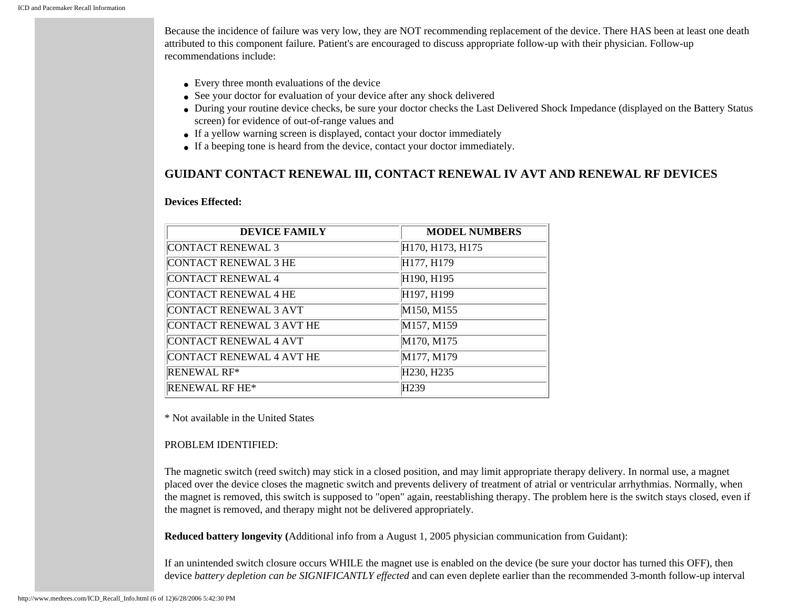Because the incidence of failure was very low, they are NOT recommending replacement of the device. There HAS been at least one death attributed to this component failure. Patient's are encouraged to discuss appropriate follow-up with their physician. Follow-up recommendations include:

- Every three month evaluations of the device
- See your doctor for evaluation of your device after any shock delivered
- During your routine device checks, be sure your doctor checks the Last Delivered Shock Impedance (displayed on the Battery Status screen) for evidence of out-of-range values and
- If a yellow warning screen is displayed, contact your doctor immediately
- If a beeping tone is heard from the device, contact your doctor immediately.

## **GUIDANT CONTACT RENEWAL III, CONTACT RENEWAL IV AVT AND RENEWAL RF DEVICES**

#### **Devices Effected:**

| <b>DEVICE FAMILY</b>        | <b>MODEL NUMBERS</b>                |
|-----------------------------|-------------------------------------|
| <b>CONTACT RENEWAL 3</b>    | H170, H173, H175                    |
| <b>CONTACT RENEWAL 3 HE</b> | H177, H179                          |
| <b>CONTACT RENEWAL 4</b>    | H190, H195                          |
| <b>CONTACT RENEWAL 4 HE</b> | H197, H199                          |
| CONTACT RENEWAL 3 AVT       | M150, M155                          |
| CONTACT RENEWAL 3 AVT HE    | M157, M159                          |
| CONTACT RENEWAL 4 AVT       | M170, M175                          |
| CONTACT RENEWAL 4 AVT HE    | M177, M179                          |
| <b>RENEWAL RF*</b>          | H <sub>230</sub> , H <sub>235</sub> |
| <b>RENEWAL RF HE*</b>       | H <sub>239</sub>                    |

\* Not available in the United States

#### PROBLEM IDENTIFIED:

The magnetic switch (reed switch) may stick in a closed position, and may limit appropriate therapy delivery. In normal use, a magnet placed over the device closes the magnetic switch and prevents delivery of treatment of atrial or ventricular arrhythmias. Normally, when the magnet is removed, this switch is supposed to "open" again, reestablishing therapy. The problem here is the switch stays closed, even if the magnet is removed, and therapy might not be delivered appropriately.

**Reduced battery longevity (**Additional info from a August 1, 2005 physician communication from Guidant):

If an unintended switch closure occurs WHILE the magnet use is enabled on the device (be sure your doctor has turned this OFF), then device *battery depletion can be SIGNIFICANTLY effected* and can even deplete earlier than the recommended 3-month follow-up interval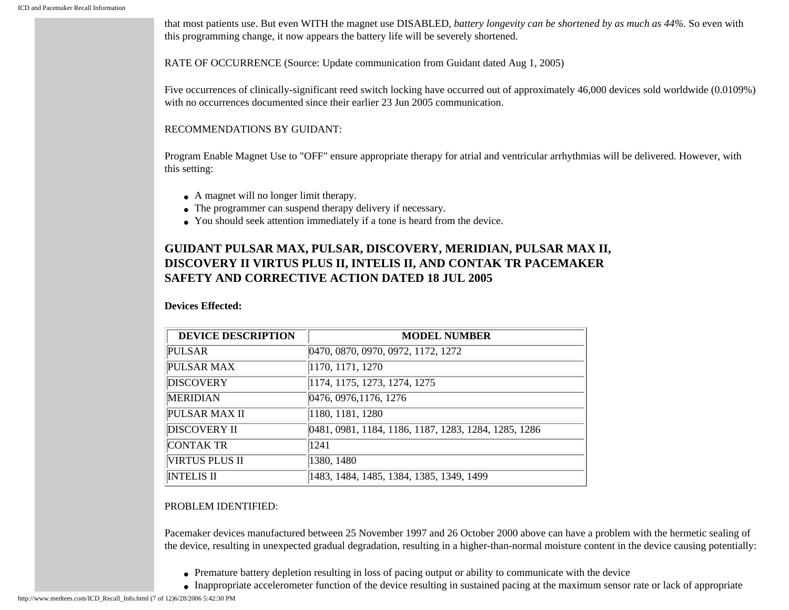that most patients use. But even WITH the magnet use DISABLED, *battery longevity can be shortened by as much as 44%*. So even with this programming change, it now appears the battery life will be severely shortened.

RATE OF OCCURRENCE (Source: Update communication from Guidant dated Aug 1, 2005)

Five occurrences of clinically-significant reed switch locking have occurred out of approximately 46,000 devices sold worldwide (0.0109%) with no occurrences documented since their earlier 23 Jun 2005 communication.

RECOMMENDATIONS BY GUIDANT:

Program Enable Magnet Use to "OFF" ensure appropriate therapy for atrial and ventricular arrhythmias will be delivered. However, with this setting:

- A magnet will no longer limit therapy.
- The programmer can suspend therapy delivery if necessary.
- You should seek attention immediately if a tone is heard from the device.

# **GUIDANT PULSAR MAX, PULSAR, DISCOVERY, MERIDIAN, PULSAR MAX II, DISCOVERY II VIRTUS PLUS II, INTELIS II, AND CONTAK TR PACEMAKER SAFETY AND CORRECTIVE ACTION DATED 18 JUL 2005**

#### **Devices Effected:**

| <b>DEVICE DESCRIPTION</b> | <b>MODEL NUMBER</b>                                  |
|---------------------------|------------------------------------------------------|
| <b>PULSAR</b>             | 0470, 0870, 0970, 0972, 1172, 1272                   |
| PULSAR MAX                | 1170, 1171, 1270                                     |
| <b>DISCOVERY</b>          | 1174, 1175, 1273, 1274, 1275                         |
| <b>MERIDIAN</b>           | 0476, 0976, 1176, 1276                               |
| <b>PULSAR MAX II</b>      | 1180, 1181, 1280                                     |
| <b>DISCOVERY II</b>       | 0481, 0981, 1184, 1186, 1187, 1283, 1284, 1285, 1286 |
| <b>CONTAK TR</b>          | 1241                                                 |
| <b>VIRTUS PLUS II</b>     | 1380, 1480                                           |
| <b>INTELIS II</b>         | 1483, 1484, 1485, 1384, 1385, 1349, 1499             |

#### PROBLEM IDENTIFIED:

Pacemaker devices manufactured between 25 November 1997 and 26 October 2000 above can have a problem with the hermetic sealing of the device, resulting in unexpected gradual degradation, resulting in a higher-than-normal moisture content in the device causing potentially:

- Premature battery depletion resulting in loss of pacing output or ability to communicate with the device
- Inappropriate accelerometer function of the device resulting in sustained pacing at the maximum sensor rate or lack of appropriate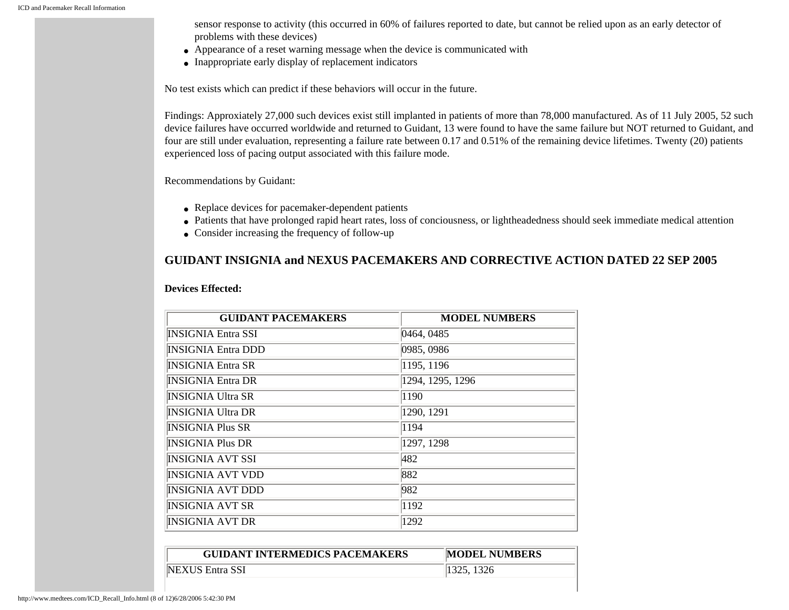sensor response to activity (this occurred in 60% of failures reported to date, but cannot be relied upon as an early detector of problems with these devices)

- Appearance of a reset warning message when the device is communicated with
- Inappropriate early display of replacement indicators

No test exists which can predict if these behaviors will occur in the future.

Findings: Approxiately 27,000 such devices exist still implanted in patients of more than 78,000 manufactured. As of 11 July 2005, 52 such device failures have occurred worldwide and returned to Guidant, 13 were found to have the same failure but NOT returned to Guidant, and four are still under evaluation, representing a failure rate between 0.17 and 0.51% of the remaining device lifetimes. Twenty (20) patients experienced loss of pacing output associated with this failure mode.

Recommendations by Guidant:

- Replace devices for pacemaker-dependent patients
- Patients that have prolonged rapid heart rates, loss of conciousness, or lightheadedness should seek immediate medical attention
- Consider increasing the frequency of follow-up

# **GUIDANT INSIGNIA and NEXUS PACEMAKERS AND CORRECTIVE ACTION DATED 22 SEP 2005**

| <b>GUIDANT PACEMAKERS</b> | <b>MODEL NUMBERS</b> |
|---------------------------|----------------------|
| <b>INSIGNIA Entra SSI</b> | 0464, 0485           |
| <b>INSIGNIA Entra DDD</b> | 0985, 0986           |
| <b>INSIGNIA Entra SR</b>  | 1195, 1196           |
| <b>INSIGNIA Entra DR</b>  | 1294, 1295, 1296     |
| <b>INSIGNIA Ultra SR</b>  | 1190                 |
| <b>INSIGNIA Ultra DR</b>  | 1290, 1291           |
| <b>INSIGNIA Plus SR</b>   | 1194                 |
| <b>INSIGNIA Plus DR</b>   | 1297, 1298           |
| INSIGNIA AVT SSI          | 482                  |
| <b>INSIGNIA AVT VDD</b>   | 882                  |
| INSIGNIA AVT DDD          | 982                  |
| <b>INSIGNIA AVT SR</b>    | 1192                 |
| <b>INSIGNIA AVT DR</b>    | 1292                 |

#### **Devices Effected:**

| <b>GUIDANT INTERMEDICS PACEMAKERS</b> | <b>MODEL NUMBERS</b> |
|---------------------------------------|----------------------|
| NEXUS Entra SSI                       | 1325, 1326           |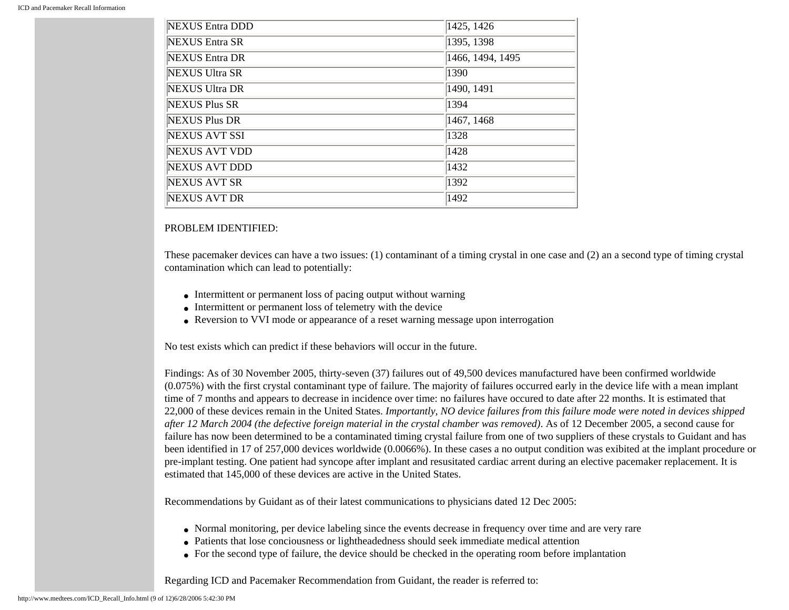| NEXUS Entra DDD       | 1425, 1426       |
|-----------------------|------------------|
| NEXUS Entra SR        | 1395, 1398       |
| NEXUS Entra DR        | 1466, 1494, 1495 |
| <b>NEXUS Ultra SR</b> | 1390             |
| NEXUS Ultra DR        | 1490, 1491       |
| NEXUS Plus SR         | 1394             |
| NEXUS Plus DR         | 1467, 1468       |
| NEXUS AVT SSI         | 1328             |
| <b>NEXUS AVT VDD</b>  | 1428             |
| <b>NEXUS AVT DDD</b>  | 1432             |
| NEXUS AVT SR          | 1392             |
| <b>NEXUS AVT DR</b>   | 1492             |

#### PROBLEM IDENTIFIED:

These pacemaker devices can have a two issues: (1) contaminant of a timing crystal in one case and (2) an a second type of timing crystal contamination which can lead to potentially:

- Intermittent or permanent loss of pacing output without warning
- Intermittent or permanent loss of telemetry with the device
- Reversion to VVI mode or appearance of a reset warning message upon interrogation

No test exists which can predict if these behaviors will occur in the future.

Findings: As of 30 November 2005, thirty-seven (37) failures out of 49,500 devices manufactured have been confirmed worldwide (0.075%) with the first crystal contaminant type of failure. The majority of failures occurred early in the device life with a mean implant time of 7 months and appears to decrease in incidence over time: no failures have occured to date after 22 months. It is estimated that 22,000 of these devices remain in the United States. *Importantly, NO device failures from this failure mode were noted in devices shipped after 12 March 2004 (the defective foreign material in the crystal chamber was removed)*. As of 12 December 2005, a second cause for failure has now been determined to be a contaminated timing crystal failure from one of two suppliers of these crystals to Guidant and has been identified in 17 of 257,000 devices worldwide (0.0066%). In these cases a no output condition was exibited at the implant procedure or pre-implant testing. One patient had syncope after implant and resusitated cardiac arrent during an elective pacemaker replacement. It is estimated that 145,000 of these devices are active in the United States.

Recommendations by Guidant as of their latest communications to physicians dated 12 Dec 2005:

- Normal monitoring, per device labeling since the events decrease in frequency over time and are very rare
- Patients that lose conciousness or lightheadedness should seek immediate medical attention
- For the second type of failure, the device should be checked in the operating room before implantation

Regarding ICD and Pacemaker Recommendation from Guidant, the reader is referred to: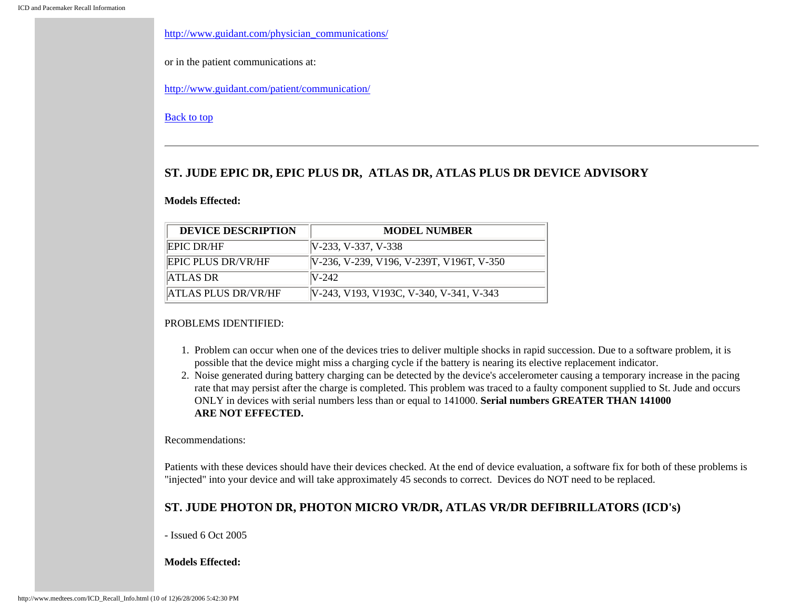[http://www.guidant.com/physician\\_communications/](http://www.guidant.com/physician_communications/)

or in the patient communications at:

<http://www.guidant.com/patient/communication/>

#### [Back to top](#page-0-1)

### <span id="page-9-0"></span>**ST. JUDE EPIC DR, EPIC PLUS DR, ATLAS DR, ATLAS PLUS DR DEVICE ADVISORY**

#### **Models Effected:**

| <b>DEVICE DESCRIPTION</b>  | <b>MODEL NUMBER</b>                      |
|----------------------------|------------------------------------------|
| <b>EPIC DR/HF</b>          | $[V-233, V-337, V-338]$                  |
| <b>IEPIC PLUS DR/VR/HF</b> | V-236, V-239, V196, V-239T, V196T, V-350 |
| ATLAS DR                   | $N-242$                                  |
| ATLAS PLUS DR/VR/HF        | V-243, V193, V193C, V-340, V-341, V-343  |

#### PROBLEMS IDENTIFIED:

- 1. Problem can occur when one of the devices tries to deliver multiple shocks in rapid succession. Due to a software problem, it is possible that the device might miss a charging cycle if the battery is nearing its elective replacement indicator.
- 2. Noise generated during battery charging can be detected by the device's accelerometer causing a temporary increase in the pacing rate that may persist after the charge is completed. This problem was traced to a faulty component supplied to St. Jude and occurs ONLY in devices with serial numbers less than or equal to 141000. **Serial numbers GREATER THAN 141000 ARE NOT EFFECTED.**

Recommendations:

Patients with these devices should have their devices checked. At the end of device evaluation, a software fix for both of these problems is "injected" into your device and will take approximately 45 seconds to correct. Devices do NOT need to be replaced.

### **ST. JUDE PHOTON DR, PHOTON MICRO VR/DR, ATLAS VR/DR DEFIBRILLATORS (ICD's)**

- Issued 6 Oct 2005

**Models Effected:**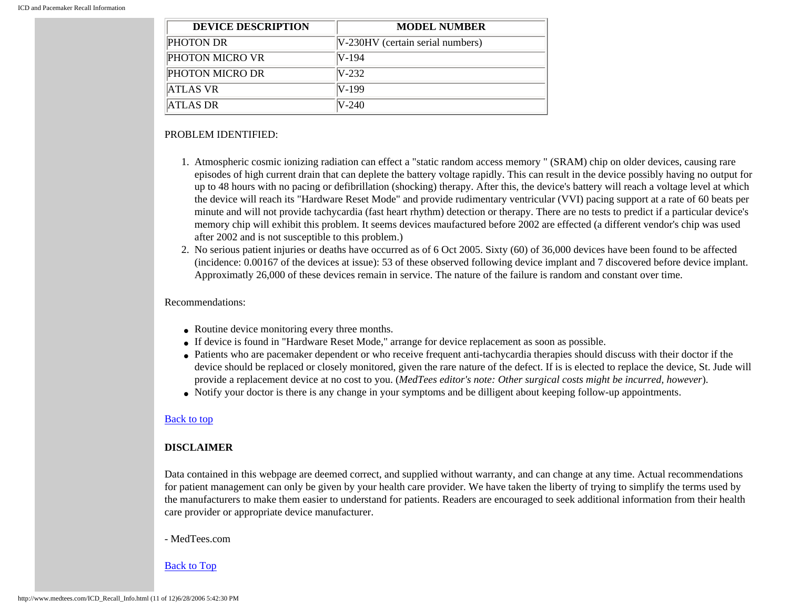| <b>DEVICE DESCRIPTION</b> | <b>MODEL NUMBER</b>               |
|---------------------------|-----------------------------------|
| <b>PHOTON DR</b>          | [V-230HV (certain serial numbers) |
| <b>PHOTON MICRO VR</b>    | IV-194                            |
| <b>PHOTON MICRO DR</b>    | $N-232$                           |
| ATLAS VR                  | IV-199                            |
| ATLAS DR                  | IV-240                            |

#### PROBLEM IDENTIFIED:

- 1. Atmospheric cosmic ionizing radiation can effect a "static random access memory " (SRAM) chip on older devices, causing rare episodes of high current drain that can deplete the battery voltage rapidly. This can result in the device possibly having no output for up to 48 hours with no pacing or defibrillation (shocking) therapy. After this, the device's battery will reach a voltage level at which the device will reach its "Hardware Reset Mode" and provide rudimentary ventricular (VVI) pacing support at a rate of 60 beats per minute and will not provide tachycardia (fast heart rhythm) detection or therapy. There are no tests to predict if a particular device's memory chip will exhibit this problem. It seems devices maufactured before 2002 are effected (a different vendor's chip was used after 2002 and is not susceptible to this problem.)
- 2. No serious patient injuries or deaths have occurred as of 6 Oct 2005. Sixty (60) of 36,000 devices have been found to be affected (incidence: 0.00167 of the devices at issue): 53 of these observed following device implant and 7 discovered before device implant. Approximatly 26,000 of these devices remain in service. The nature of the failure is random and constant over time.

#### Recommendations:

- Routine device monitoring every three months.
- If device is found in "Hardware Reset Mode," arrange for device replacement as soon as possible.
- Patients who are pacemaker dependent or who receive frequent anti-tachycardia therapies should discuss with their doctor if the device should be replaced or closely monitored, given the rare nature of the defect. If is is elected to replace the device, St. Jude will provide a replacement device at no cost to you. (*MedTees editor's note: Other surgical costs might be incurred, however*).
- Notify your doctor is there is any change in your symptoms and be dilligent about keeping follow-up appointments.

#### [Back to top](#page-0-1)

### <span id="page-10-0"></span>**DISCLAIMER**

Data contained in this webpage are deemed correct, and supplied without warranty, and can change at any time. Actual recommendations for patient management can only be given by your health care provider. We have taken the liberty of trying to simplify the terms used by the manufacturers to make them easier to understand for patients. Readers are encouraged to seek additional information from their health care provider or appropriate device manufacturer.

#### - MedTees.com

#### [Back to Top](#page-0-1)